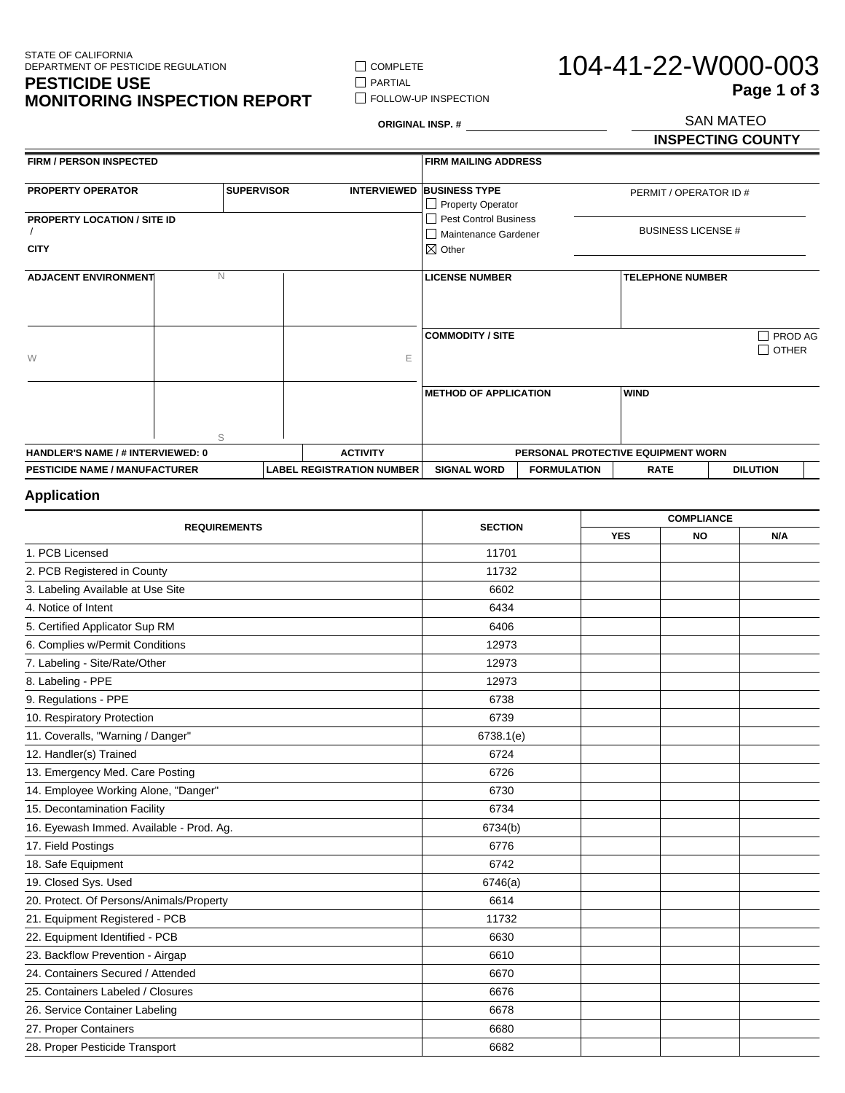STATE OF CALIFORNIA DEPARTMENT OF PESTICIDE REGULATION

#### **PESTICIDE USE MONITORING INSPECTION REPORT**

**FOLLOW-UP INSPECTION** 

 $\hfill\Box$  COMPLETE  $\hfill\Box$ <br> <br> PARTIAL

# 104-41-22-W000-003 SAN MATEO **Page 1 of 3**

**ORIGINAL INSP. #**

## **INSPECTING COUNTY**

| FIRM / PERSON INSPECTED                           |             |                   |                 |                                    | <b>FIRM MAILING ADDRESS</b>                                            |                    |                           |                         |
|---------------------------------------------------|-------------|-------------------|-----------------|------------------------------------|------------------------------------------------------------------------|--------------------|---------------------------|-------------------------|
| <b>PROPERTY OPERATOR</b>                          |             | <b>SUPERVISOR</b> |                 |                                    | <b>INTERVIEWED BUSINESS TYPE</b><br>Property Operator                  |                    | PERMIT / OPERATOR ID #    |                         |
| <b>PROPERTY LOCATION / SITE ID</b><br><b>CITY</b> |             |                   |                 |                                    | Pest Control Business<br>    Maintenance Gardener<br>$\boxtimes$ Other |                    | <b>BUSINESS LICENSE #</b> |                         |
| <b>ADJACENT ENVIRONMENT</b>                       | $\mathbb N$ |                   |                 |                                    | <b>LICENSE NUMBER</b>                                                  |                    | <b>TELEPHONE NUMBER</b>   |                         |
| W                                                 |             |                   |                 | E                                  | <b>COMMODITY / SITE</b>                                                |                    |                           | PROD AG<br><b>OTHER</b> |
|                                                   | S           |                   |                 |                                    | <b>METHOD OF APPLICATION</b>                                           |                    | <b>WIND</b>               |                         |
| HANDLER'S NAME / # INTERVIEWED: 0                 |             |                   | <b>ACTIVITY</b> | PERSONAL PROTECTIVE EQUIPMENT WORN |                                                                        |                    |                           |                         |
| <b>PESTICIDE NAME / MANUFACTURER</b>              |             |                   |                 | <b>LABEL REGISTRATION NUMBER</b>   | <b>SIGNAL WORD</b>                                                     | <b>FORMULATION</b> | <b>RATE</b>               | <b>DILUTION</b>         |

### **Application**

| <b>REQUIREMENTS</b>                      | <b>SECTION</b> | <b>COMPLIANCE</b> |           |     |
|------------------------------------------|----------------|-------------------|-----------|-----|
|                                          |                | <b>YES</b>        | <b>NO</b> | N/A |
| 1. PCB Licensed                          | 11701          |                   |           |     |
| 2. PCB Registered in County              | 11732          |                   |           |     |
| 3. Labeling Available at Use Site        | 6602           |                   |           |     |
| 4. Notice of Intent                      | 6434           |                   |           |     |
| 5. Certified Applicator Sup RM           | 6406           |                   |           |     |
| 6. Complies w/Permit Conditions          | 12973          |                   |           |     |
| 7. Labeling - Site/Rate/Other            | 12973          |                   |           |     |
| 8. Labeling - PPE                        | 12973          |                   |           |     |
| 9. Regulations - PPE                     | 6738           |                   |           |     |
| 10. Respiratory Protection               | 6739           |                   |           |     |
| 11. Coveralls, "Warning / Danger"        | 6738.1(e)      |                   |           |     |
| 12. Handler(s) Trained                   | 6724           |                   |           |     |
| 13. Emergency Med. Care Posting          | 6726           |                   |           |     |
| 14. Employee Working Alone, "Danger"     | 6730           |                   |           |     |
| 15. Decontamination Facility             | 6734           |                   |           |     |
| 16. Eyewash Immed. Available - Prod. Ag. | 6734(b)        |                   |           |     |
| 17. Field Postings                       | 6776           |                   |           |     |
| 18. Safe Equipment                       | 6742           |                   |           |     |
| 19. Closed Sys. Used                     | 6746(a)        |                   |           |     |
| 20. Protect. Of Persons/Animals/Property | 6614           |                   |           |     |
| 21. Equipment Registered - PCB           | 11732          |                   |           |     |
| 22. Equipment Identified - PCB           | 6630           |                   |           |     |
| 23. Backflow Prevention - Airgap         | 6610           |                   |           |     |
| 24. Containers Secured / Attended        | 6670           |                   |           |     |
| 25. Containers Labeled / Closures        | 6676           |                   |           |     |
| 26. Service Container Labeling           | 6678           |                   |           |     |
| 27. Proper Containers                    | 6680           |                   |           |     |
| 28. Proper Pesticide Transport           | 6682           |                   |           |     |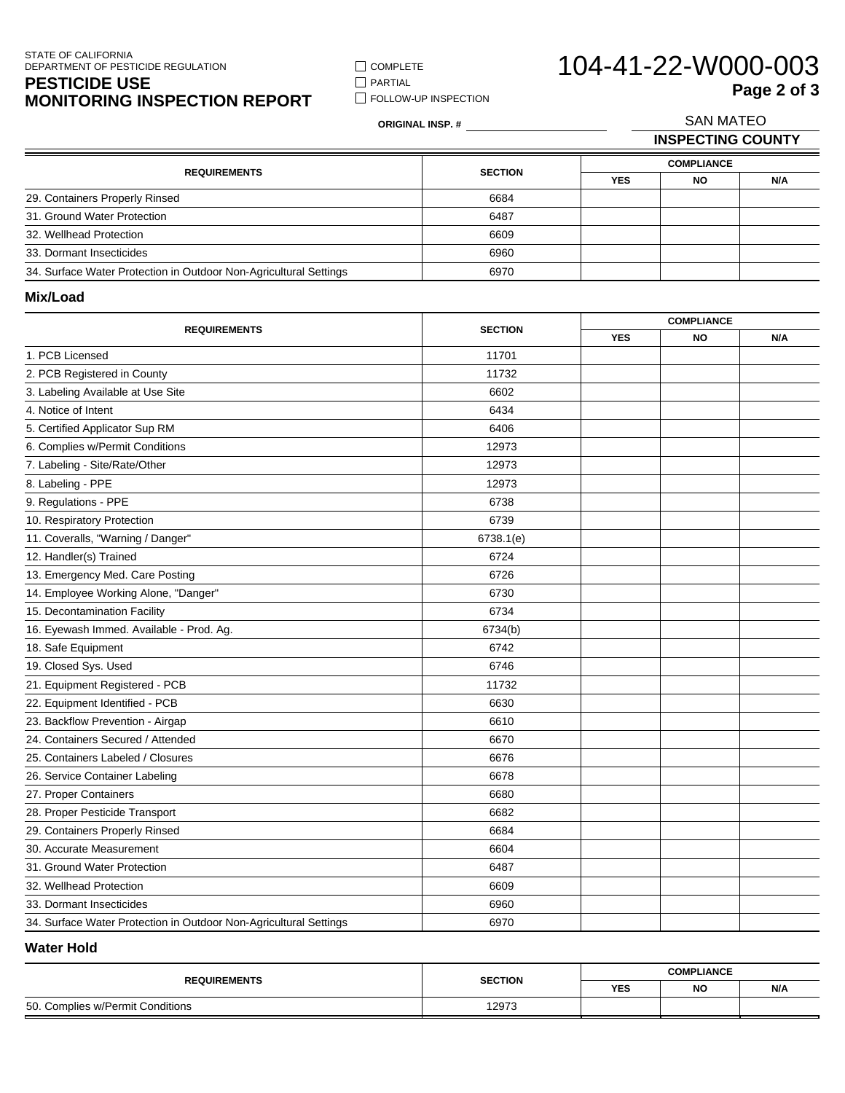#### STATE OF CALIFORNIA DEPARTMENT OF PESTICIDE REGULATION

#### **PESTICIDE USE MONITORING INSPECTION REPORT**

COMPLETE **PARTIAL FOLLOW-UP INSPECTION** 

# 104-41-22-W000-003 SAN MATEO **Page 2 of 3**

**ORIGINAL INSP. # INSPECTING COUNTY COMPLIANCE YES NO N/A**

|                                                                   |                | <b>COMPLIANCE</b> |           |     |  |
|-------------------------------------------------------------------|----------------|-------------------|-----------|-----|--|
| <b>REQUIREMENTS</b>                                               | <b>SECTION</b> | <b>YES</b>        | <b>NO</b> | N/A |  |
| 29. Containers Properly Rinsed                                    | 6684           |                   |           |     |  |
| 31. Ground Water Protection                                       | 6487           |                   |           |     |  |
| 32. Wellhead Protection                                           | 6609           |                   |           |     |  |
| 33. Dormant Insecticides                                          | 6960           |                   |           |     |  |
| 34. Surface Water Protection in Outdoor Non-Agricultural Settings | 6970           |                   |           |     |  |

**Mix/Load**

Ξ

| <b>YES</b><br><b>NO</b><br>N/A<br>1. PCB Licensed<br>11701<br>2. PCB Registered in County<br>11732<br>3. Labeling Available at Use Site<br>6602<br>4. Notice of Intent<br>6434<br>5. Certified Applicator Sup RM<br>6406<br>6. Complies w/Permit Conditions<br>12973<br>7. Labeling - Site/Rate/Other<br>12973<br>8. Labeling - PPE<br>12973<br>9. Regulations - PPE<br>6738<br>6739<br>10. Respiratory Protection<br>11. Coveralls, "Warning / Danger"<br>6738.1(e)<br>12. Handler(s) Trained<br>6724<br>13. Emergency Med. Care Posting<br>6726<br>14. Employee Working Alone, "Danger"<br>6730<br>6734<br>15. Decontamination Facility<br>16. Eyewash Immed. Available - Prod. Ag.<br>6734(b)<br>18. Safe Equipment<br>6742<br>19. Closed Sys. Used<br>6746<br>21. Equipment Registered - PCB<br>11732<br>22. Equipment Identified - PCB<br>6630<br>23. Backflow Prevention - Airgap<br>6610<br>24. Containers Secured / Attended<br>6670<br>25. Containers Labeled / Closures<br>6676<br>26. Service Container Labeling<br>6678<br>27. Proper Containers<br>6680<br>28. Proper Pesticide Transport<br>6682<br>29. Containers Properly Rinsed<br>6684<br>30. Accurate Measurement<br>6604<br>31. Ground Water Protection<br>6487<br>6609<br>32. Wellhead Protection<br>33. Dormant Insecticides<br>6960 | <b>REQUIREMENTS</b> | <b>SECTION</b> | <b>COMPLIANCE</b> |  |  |
|------------------------------------------------------------------------------------------------------------------------------------------------------------------------------------------------------------------------------------------------------------------------------------------------------------------------------------------------------------------------------------------------------------------------------------------------------------------------------------------------------------------------------------------------------------------------------------------------------------------------------------------------------------------------------------------------------------------------------------------------------------------------------------------------------------------------------------------------------------------------------------------------------------------------------------------------------------------------------------------------------------------------------------------------------------------------------------------------------------------------------------------------------------------------------------------------------------------------------------------------------------------------------------------------------------|---------------------|----------------|-------------------|--|--|
|                                                                                                                                                                                                                                                                                                                                                                                                                                                                                                                                                                                                                                                                                                                                                                                                                                                                                                                                                                                                                                                                                                                                                                                                                                                                                                            |                     |                |                   |  |  |
|                                                                                                                                                                                                                                                                                                                                                                                                                                                                                                                                                                                                                                                                                                                                                                                                                                                                                                                                                                                                                                                                                                                                                                                                                                                                                                            |                     |                |                   |  |  |
|                                                                                                                                                                                                                                                                                                                                                                                                                                                                                                                                                                                                                                                                                                                                                                                                                                                                                                                                                                                                                                                                                                                                                                                                                                                                                                            |                     |                |                   |  |  |
|                                                                                                                                                                                                                                                                                                                                                                                                                                                                                                                                                                                                                                                                                                                                                                                                                                                                                                                                                                                                                                                                                                                                                                                                                                                                                                            |                     |                |                   |  |  |
|                                                                                                                                                                                                                                                                                                                                                                                                                                                                                                                                                                                                                                                                                                                                                                                                                                                                                                                                                                                                                                                                                                                                                                                                                                                                                                            |                     |                |                   |  |  |
|                                                                                                                                                                                                                                                                                                                                                                                                                                                                                                                                                                                                                                                                                                                                                                                                                                                                                                                                                                                                                                                                                                                                                                                                                                                                                                            |                     |                |                   |  |  |
|                                                                                                                                                                                                                                                                                                                                                                                                                                                                                                                                                                                                                                                                                                                                                                                                                                                                                                                                                                                                                                                                                                                                                                                                                                                                                                            |                     |                |                   |  |  |
|                                                                                                                                                                                                                                                                                                                                                                                                                                                                                                                                                                                                                                                                                                                                                                                                                                                                                                                                                                                                                                                                                                                                                                                                                                                                                                            |                     |                |                   |  |  |
|                                                                                                                                                                                                                                                                                                                                                                                                                                                                                                                                                                                                                                                                                                                                                                                                                                                                                                                                                                                                                                                                                                                                                                                                                                                                                                            |                     |                |                   |  |  |
|                                                                                                                                                                                                                                                                                                                                                                                                                                                                                                                                                                                                                                                                                                                                                                                                                                                                                                                                                                                                                                                                                                                                                                                                                                                                                                            |                     |                |                   |  |  |
|                                                                                                                                                                                                                                                                                                                                                                                                                                                                                                                                                                                                                                                                                                                                                                                                                                                                                                                                                                                                                                                                                                                                                                                                                                                                                                            |                     |                |                   |  |  |
|                                                                                                                                                                                                                                                                                                                                                                                                                                                                                                                                                                                                                                                                                                                                                                                                                                                                                                                                                                                                                                                                                                                                                                                                                                                                                                            |                     |                |                   |  |  |
|                                                                                                                                                                                                                                                                                                                                                                                                                                                                                                                                                                                                                                                                                                                                                                                                                                                                                                                                                                                                                                                                                                                                                                                                                                                                                                            |                     |                |                   |  |  |
|                                                                                                                                                                                                                                                                                                                                                                                                                                                                                                                                                                                                                                                                                                                                                                                                                                                                                                                                                                                                                                                                                                                                                                                                                                                                                                            |                     |                |                   |  |  |
|                                                                                                                                                                                                                                                                                                                                                                                                                                                                                                                                                                                                                                                                                                                                                                                                                                                                                                                                                                                                                                                                                                                                                                                                                                                                                                            |                     |                |                   |  |  |
|                                                                                                                                                                                                                                                                                                                                                                                                                                                                                                                                                                                                                                                                                                                                                                                                                                                                                                                                                                                                                                                                                                                                                                                                                                                                                                            |                     |                |                   |  |  |
|                                                                                                                                                                                                                                                                                                                                                                                                                                                                                                                                                                                                                                                                                                                                                                                                                                                                                                                                                                                                                                                                                                                                                                                                                                                                                                            |                     |                |                   |  |  |
|                                                                                                                                                                                                                                                                                                                                                                                                                                                                                                                                                                                                                                                                                                                                                                                                                                                                                                                                                                                                                                                                                                                                                                                                                                                                                                            |                     |                |                   |  |  |
|                                                                                                                                                                                                                                                                                                                                                                                                                                                                                                                                                                                                                                                                                                                                                                                                                                                                                                                                                                                                                                                                                                                                                                                                                                                                                                            |                     |                |                   |  |  |
|                                                                                                                                                                                                                                                                                                                                                                                                                                                                                                                                                                                                                                                                                                                                                                                                                                                                                                                                                                                                                                                                                                                                                                                                                                                                                                            |                     |                |                   |  |  |
|                                                                                                                                                                                                                                                                                                                                                                                                                                                                                                                                                                                                                                                                                                                                                                                                                                                                                                                                                                                                                                                                                                                                                                                                                                                                                                            |                     |                |                   |  |  |
|                                                                                                                                                                                                                                                                                                                                                                                                                                                                                                                                                                                                                                                                                                                                                                                                                                                                                                                                                                                                                                                                                                                                                                                                                                                                                                            |                     |                |                   |  |  |
|                                                                                                                                                                                                                                                                                                                                                                                                                                                                                                                                                                                                                                                                                                                                                                                                                                                                                                                                                                                                                                                                                                                                                                                                                                                                                                            |                     |                |                   |  |  |
|                                                                                                                                                                                                                                                                                                                                                                                                                                                                                                                                                                                                                                                                                                                                                                                                                                                                                                                                                                                                                                                                                                                                                                                                                                                                                                            |                     |                |                   |  |  |
|                                                                                                                                                                                                                                                                                                                                                                                                                                                                                                                                                                                                                                                                                                                                                                                                                                                                                                                                                                                                                                                                                                                                                                                                                                                                                                            |                     |                |                   |  |  |
|                                                                                                                                                                                                                                                                                                                                                                                                                                                                                                                                                                                                                                                                                                                                                                                                                                                                                                                                                                                                                                                                                                                                                                                                                                                                                                            |                     |                |                   |  |  |
|                                                                                                                                                                                                                                                                                                                                                                                                                                                                                                                                                                                                                                                                                                                                                                                                                                                                                                                                                                                                                                                                                                                                                                                                                                                                                                            |                     |                |                   |  |  |
|                                                                                                                                                                                                                                                                                                                                                                                                                                                                                                                                                                                                                                                                                                                                                                                                                                                                                                                                                                                                                                                                                                                                                                                                                                                                                                            |                     |                |                   |  |  |
|                                                                                                                                                                                                                                                                                                                                                                                                                                                                                                                                                                                                                                                                                                                                                                                                                                                                                                                                                                                                                                                                                                                                                                                                                                                                                                            |                     |                |                   |  |  |
|                                                                                                                                                                                                                                                                                                                                                                                                                                                                                                                                                                                                                                                                                                                                                                                                                                                                                                                                                                                                                                                                                                                                                                                                                                                                                                            |                     |                |                   |  |  |
|                                                                                                                                                                                                                                                                                                                                                                                                                                                                                                                                                                                                                                                                                                                                                                                                                                                                                                                                                                                                                                                                                                                                                                                                                                                                                                            |                     |                |                   |  |  |
|                                                                                                                                                                                                                                                                                                                                                                                                                                                                                                                                                                                                                                                                                                                                                                                                                                                                                                                                                                                                                                                                                                                                                                                                                                                                                                            |                     |                |                   |  |  |
| 34. Surface Water Protection in Outdoor Non-Agricultural Settings<br>6970                                                                                                                                                                                                                                                                                                                                                                                                                                                                                                                                                                                                                                                                                                                                                                                                                                                                                                                                                                                                                                                                                                                                                                                                                                  |                     |                |                   |  |  |

#### **Water Hold**

| <b>REQUIREMENTS</b>              | <b>SECTION</b> | <b>COMPLIANCE</b> |           |     |
|----------------------------------|----------------|-------------------|-----------|-----|
|                                  |                | <b>YES</b>        | <b>NO</b> | N/A |
| 50. Complies w/Permit Conditions | 12973          |                   |           |     |